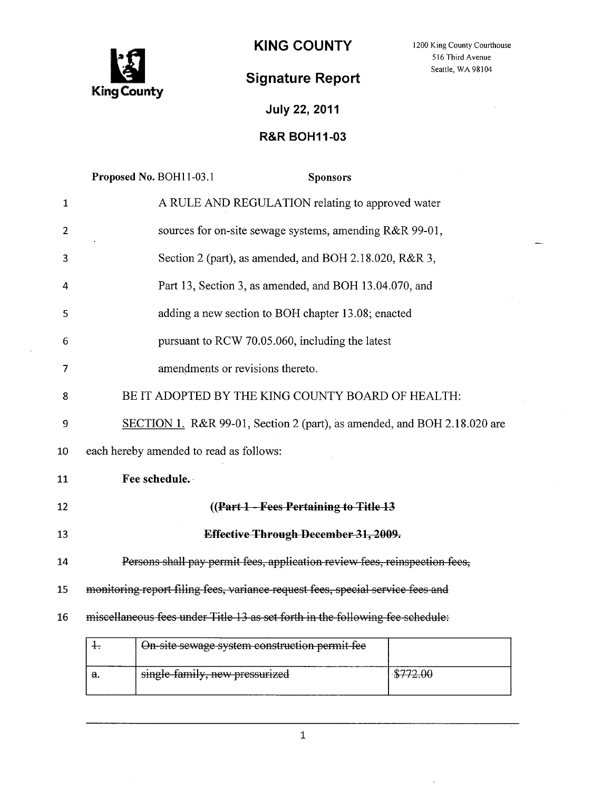

# Signature Report Seattle, WA 98104

# July 22, 2011

### R&R BOH11-03

|                | Proposed No. BOH11-03.1<br><b>Sponsors</b>                                     |  |  |  |
|----------------|--------------------------------------------------------------------------------|--|--|--|
| $\mathbf{1}$   | A RULE AND REGULATION relating to approved water                               |  |  |  |
| 2              | sources for on-site sewage systems, amending R&R 99-01,                        |  |  |  |
| 3              | Section 2 (part), as amended, and BOH 2.18.020, R&R 3,                         |  |  |  |
| 4              | Part 13, Section 3, as amended, and BOH 13.04.070, and                         |  |  |  |
| 5              | adding a new section to BOH chapter 13.08; enacted                             |  |  |  |
| 6              | pursuant to RCW 70.05.060, including the latest                                |  |  |  |
| $\overline{7}$ | amendments or revisions thereto.                                               |  |  |  |
| 8              | BE IT ADOPTED BY THE KING COUNTY BOARD OF HEALTH:                              |  |  |  |
| 9              | SECTION 1. R&R 99-01, Section 2 (part), as amended, and BOH 2.18.020 are       |  |  |  |
| 10             | each hereby amended to read as follows:                                        |  |  |  |
| 11             | Fee schedule.                                                                  |  |  |  |
| 12             | ((Part 1 - Fees Pertaining to Title 13)                                        |  |  |  |
| 13             | Effective Through December 31, 2009.                                           |  |  |  |
| 14             | Persons shall pay permit fees, application review fees, reinspection fees,     |  |  |  |
| 15             | monitoring report filing fees, variance request fees, special service fees and |  |  |  |
| 16             | miscellaneous fees under Title 13 as set forth in the following fee schedule:  |  |  |  |
|                | $\ddagger$<br>On-site sewage system construction permit fee                    |  |  |  |

 $\mathbf{I}$ 

 $\bar{\bar{z}}$ 

 $$772.00$ 

a. Single-family, new pressurized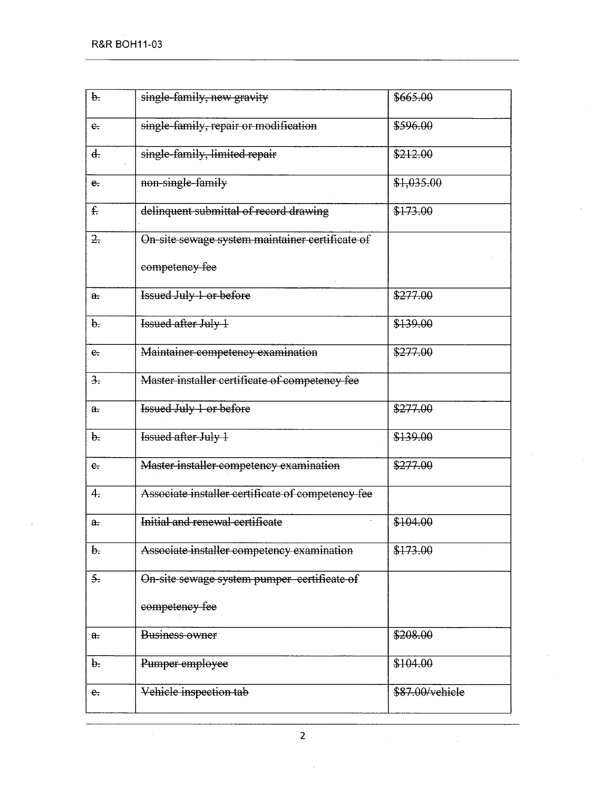| $\theta$ .         | single-family, new gravity                        | \$665.00        |
|--------------------|---------------------------------------------------|-----------------|
| $e_{\tau}$         | single-family, repair or modification             | \$596.00        |
| $\overline{d}$ .   | single-family, limited repair                     | \$212.00        |
| e.                 | non-single-family                                 | \$1,035.00      |
| f.                 | delinquent submittal of record drawing            | \$173.00        |
| $\overline{z}$ .   | On-site sewage system maintainer certificate of   |                 |
|                    | competency fee                                    |                 |
| $\theta$ .         | <b>Issued July 1 or before</b>                    | \$277.00        |
| $\theta$ .         | Issued after July 1                               | \$139.00        |
| $e_{\overline{z}}$ | Maintainer competency examination                 | \$277.00        |
| $\frac{3}{2}$ .    | Master installer certificate of competency fee    |                 |
| $a_{\overline{r}}$ | <b>Issued July 1 or before</b>                    | \$277.00        |
| b.                 | Issued after July 1                               | \$139.00        |
| $e_{\tau}$         | Master installer competency examination           | \$277.00        |
| 4.                 | Associate installer certificate of competency fee |                 |
| a.                 | Initial and renewal certificate                   | \$104.00        |
| $\mathbf{b}$ .     | Associate installer competency examination        | \$173.00        |
| $\overline{5}$ .   | On-site sewage system pumper certificate of       |                 |
|                    | competency fee                                    |                 |
| $a$ .              | <b>Business owner</b>                             | \$208.00        |
| b.                 | Pumper employee                                   | \$104.00        |
| $e_{\cdot}$        | Vehicle inspection tab                            | \$87.00/vehicle |
|                    |                                                   |                 |

 $\hat{\mathcal{A}}$ 

 $\sim 10^7$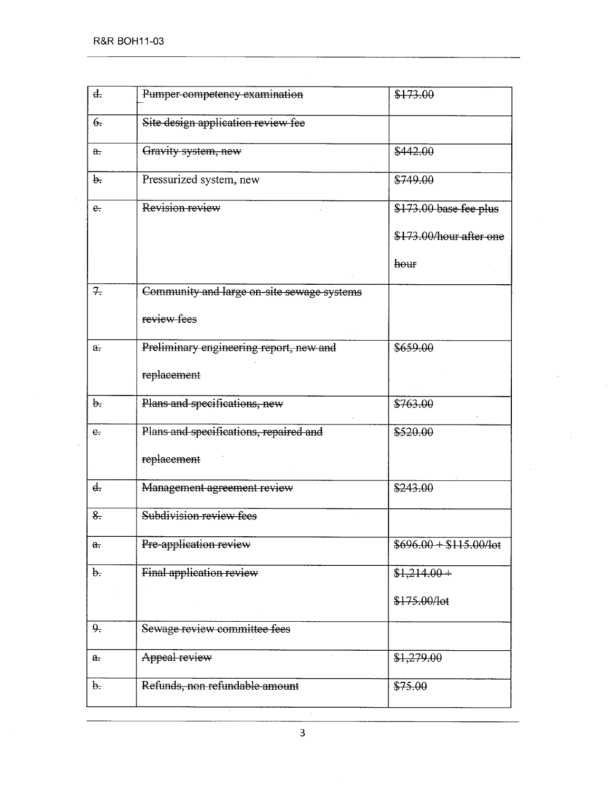| d.                     | Pumper-competency examination              | \$173.00                       |
|------------------------|--------------------------------------------|--------------------------------|
| $\theta$ .             | Site design application review fee         |                                |
| a.                     | Gravity system, new                        | \$442.00                       |
| $\theta$ .             | Pressurized system, new                    | \$749.00                       |
| e.                     | Revision review                            | \$173.00 base fee plus         |
|                        |                                            | \$173.00/hour after one        |
|                        |                                            | hour                           |
| 7.                     | Community and large on-site sewage systems |                                |
|                        | review fees                                |                                |
| a.                     | Preliminary engineering report, new and    | \$659.00                       |
|                        | replacement                                |                                |
| $\theta$ .             | Plans and specifications, new              | \$763.00                       |
| $e_{\cdot}$            | Plans and specifications, repaired and     | \$520.00                       |
|                        | replacement                                |                                |
| d.                     | Management agreement review                | \$243.00                       |
| 8.                     | Subdivision review fees                    |                                |
| $a_{\overline{\cdot}}$ | Pre-application review                     | $$696.00 + $115.00/\text{lot}$ |
| $\theta$ .             | Final application review                   | $$1,214.00+$                   |
|                        |                                            | \$175.00/lot                   |
| 9.                     | Sewage review committee fees               |                                |
| a <sub>1</sub>         | Appeal review                              | \$1,279.00                     |
| $\mathbf{b}$ .         | Refunds, non refundable amount             | \$75.00                        |
|                        |                                            |                                |

 $\ddot{\phantom{a}}$ 

3

 $\sim$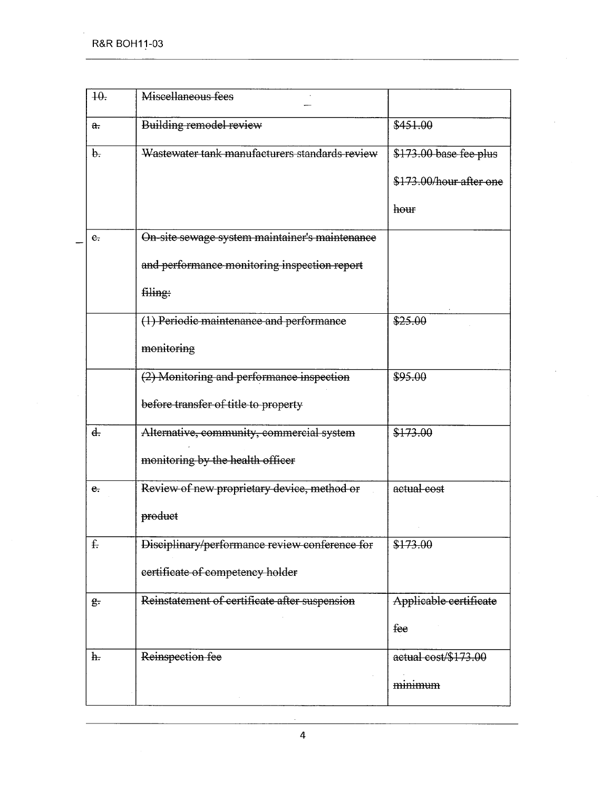| 40.                | Miscellaneous fees                             |                         |
|--------------------|------------------------------------------------|-------------------------|
| $\theta$ .         | Building remodel review                        | \$451.00                |
| $\theta$ .         | Wastewater tank manufacturers standards review | \$173.00 base fee plus  |
|                    |                                                | \$173.00/hour after one |
|                    |                                                | hour                    |
| $e_{i}$            | On-site sewage system maintainer's maintenance |                         |
|                    | and performance monitoring inspection report   |                         |
|                    | filing:                                        |                         |
|                    | (1) Periodic maintenance and performance       | \$25.00                 |
|                    | monitoring                                     |                         |
|                    | (2) Monitoring and performance inspection      | \$95.00                 |
|                    | before transfer of title to property           |                         |
| $d_{\tau}$         | Alternative, community, commercial system      | \$173.00                |
|                    | monitoring by the health officer               |                         |
| e.                 | Review of new proprietary device, method or    | actual cost             |
|                    | product                                        |                         |
| £.                 | Disciplinary/performance review conference for | \$173.00                |
|                    | certificate of competency holder               |                         |
| $g_{\overline{z}}$ | Reinstatement of certificate after suspension  | Applicable certificate  |
|                    |                                                | fee                     |
| h.                 | Reinspection fee                               | actual cost/\$173.00    |
|                    |                                                | minimum                 |
|                    |                                                |                         |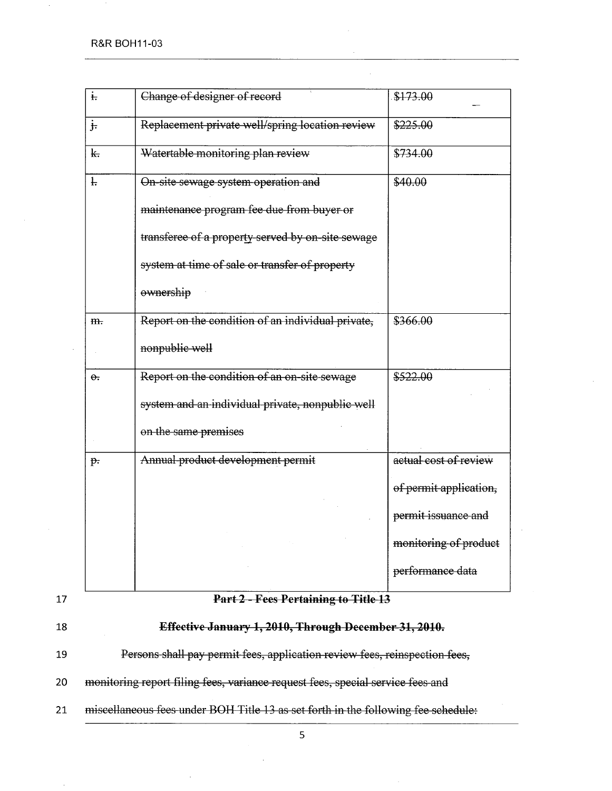| $\ddot{t}$              | Change of designer of record                      | \$173.00               |
|-------------------------|---------------------------------------------------|------------------------|
| $\frac{1}{2}$           | Replacement private well/spring location review   | \$225.00               |
| $\overline{\mathbf{r}}$ | Watertable monitoring plan review                 | \$734.00               |
| Ŧ.                      | On-site sewage system operation and               | \$40.00                |
|                         | maintenance program fee due from buyer or         |                        |
|                         | transferee of a property served by on-site sewage |                        |
|                         | system at time of sale or transfer of property    |                        |
|                         | ownership                                         |                        |
| m.                      | Report on the condition of an individual private, | \$366.00               |
|                         | nonpublic well                                    |                        |
| $\theta$ .              | Report on the condition of an on-site sewage      | \$522.00               |
|                         | system and an individual private, nonpublic well  |                        |
|                         | on the same premises                              |                        |
| $p$ .                   | Annual product development permit                 | actual cost of review  |
|                         |                                                   | of permit application, |
|                         |                                                   | permit issuance and    |
|                         |                                                   | monitoring of product  |
|                         |                                                   | performance data       |
|                         |                                                   |                        |

#### 17 Part 2 - Fees Pertaining to Title 13

18 Effective January 1, 2010, Through December 31, 2010.

19 Persons shall pay permit fees, application review fees, reinspection fees,

- 20 monitoring report filing fees, variance request fees, special service fees and
- 21 miscellaneous fees under BOH Title 13 as set forth in the following fee schedule: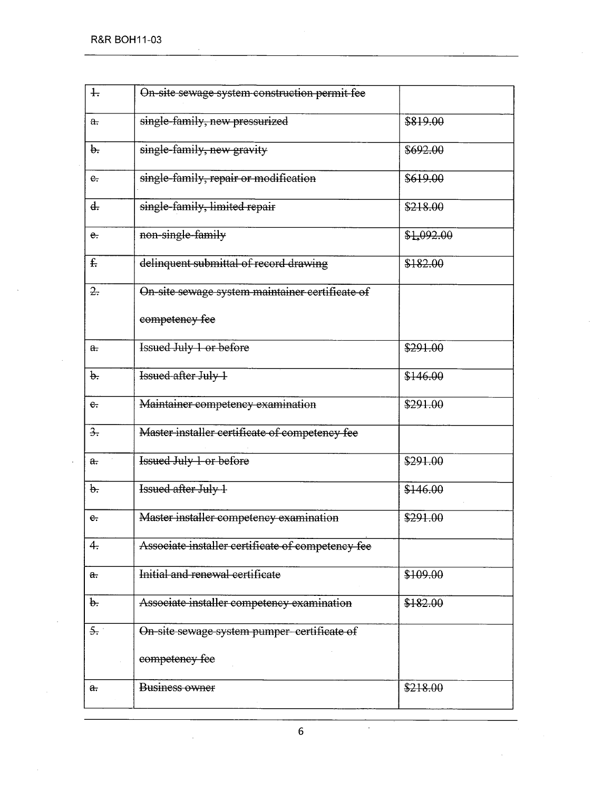R&R BOH11-03

| $\ddagger$             | On-site sewage system construction permit fee     |            |
|------------------------|---------------------------------------------------|------------|
| $a_{\overline{\cdot}}$ | single-family, new pressurized                    | \$819.00   |
| $\theta$ .             | single-family, new gravity                        | \$692.00   |
| $e_{\tau}$             | single-family, repair or modification             | \$619.00   |
| ď.                     | single-family, limited repair                     | \$218.00   |
| e.                     | non-single-family                                 | \$1,092.00 |
| $f_{\cdot}$            | delinquent submittal of record drawing            | \$182.00   |
| 2.                     | On-site sewage system maintainer certificate of   |            |
|                        | competency fee                                    |            |
| a <sub>r</sub>         | <b>Issued July 1 or before</b>                    | \$291.00   |
| b.                     | Issued after July 1                               | \$146.00   |
| $e_{\tau}$             | Maintainer competency examination                 | \$291.00   |
| $\frac{3}{2}$          | Master installer certificate of competency fee    |            |
| $a_{\overline{r}}$     | <b>Issued July 1 or before</b>                    | \$291.00   |
| $\theta$ .             | Issued after July 1                               | \$146.00   |
| e.                     | Master installer competency examination           | \$291.00   |
| 4.                     | Associate installer certificate of competency fee |            |
| a.                     | Initial and renewal certificate                   | \$109.00   |
| b.                     | Associate installer competency examination        | \$182.00   |
| 5.                     | On-site sewage system pumper-certificate of       |            |
|                        | competency fee                                    |            |
| $\mathbf{a}$ .         | Business owner                                    | \$218.00   |
|                        |                                                   |            |

6

 $\mathcal{A}$ 

 $\mathcal{L}^{\mathcal{A}}$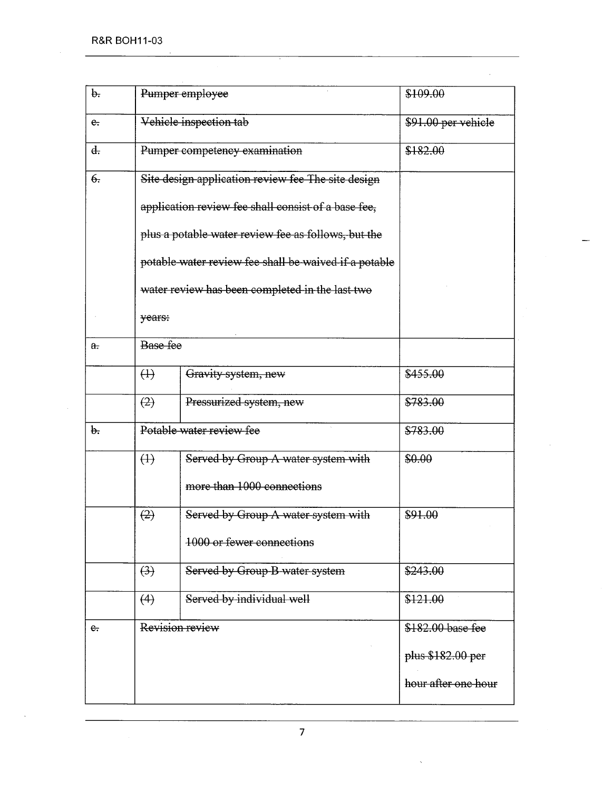| b.                 |                                                     | Pumper employee                                       | \$109.00            |
|--------------------|-----------------------------------------------------|-------------------------------------------------------|---------------------|
| $e$ .              |                                                     | Vehicle inspection tab                                | \$91.00 per vehicle |
| d.                 | Pumper competency examination                       |                                                       | \$182.00            |
| $\theta$ .         |                                                     | Site design application review fee The site design    |                     |
|                    | application review fee shall consist of a base fee, |                                                       |                     |
|                    | plus a potable water review fee as follows, but the |                                                       |                     |
|                    |                                                     | potable water review fee shall be waived if a potable |                     |
|                    |                                                     | water review has been completed in the last two       |                     |
|                    | years:                                              |                                                       |                     |
| $\theta$ .         | Base fee                                            |                                                       |                     |
|                    | $\leftrightarrow$                                   | Gravity system, new                                   | \$455.00            |
|                    | (2)                                                 | Pressurized system, new                               | \$783.00            |
| $\mathbf{b}$ .     | Potable water review fee                            |                                                       | \$783.00            |
|                    | $\leftrightarrow$                                   | Served by Group A water system with                   | \$0.00              |
|                    |                                                     | more than 1000 connections                            |                     |
|                    | (2)                                                 | Served by Group A water system with                   | \$91.00             |
|                    |                                                     | 1000 or fewer connections                             |                     |
|                    | (3)                                                 | Served by Group B water system                        | \$243.00            |
|                    | (4)                                                 | Served by individual well                             | \$121.00            |
| $e_{\overline{1}}$ |                                                     | Revision review                                       | \$182.00 base fee   |
|                    |                                                     |                                                       | plus \$182.00 per   |
|                    |                                                     |                                                       | hour after one hour |
|                    |                                                     |                                                       |                     |

 $\bar{z}$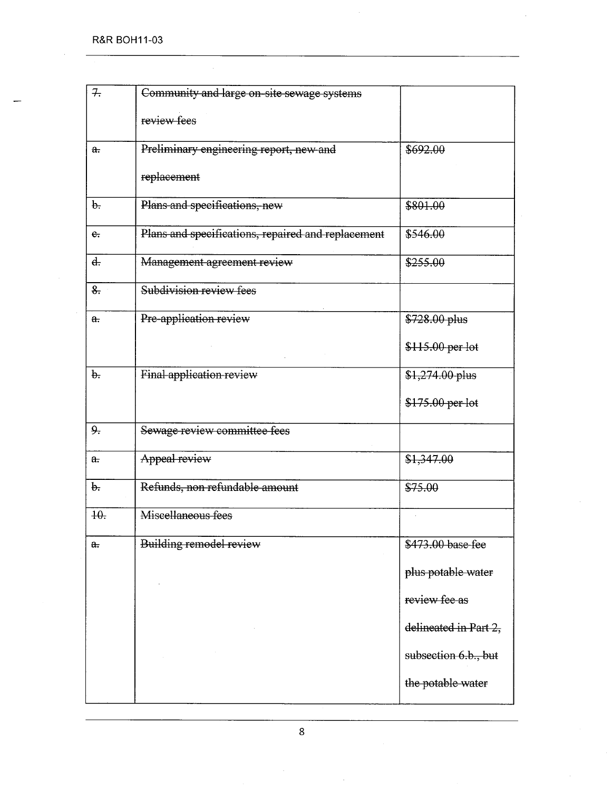| 7.                 | Community and large on-site sewage systems         |                       |
|--------------------|----------------------------------------------------|-----------------------|
|                    | review fees                                        |                       |
| a.                 | Preliminary engineering report, new and            | \$692.00              |
|                    | replacement                                        |                       |
| $\theta$ .         | Plans and specifications, new                      | \$801.00              |
| $e_{t}$            | Plans and specifications, repaired and replacement | \$546.00              |
| $d_{\tau}$         | Management agreement review                        | \$255.00              |
| $\frac{8}{2}$      | Subdivision review fees                            |                       |
| a.                 | Pre-application review                             | \$728.00 plus         |
|                    |                                                    | \$115.00 per lot      |
| $\theta$ .         | Final application review                           | $$1,274.00$ plus      |
|                    |                                                    | \$175.00 per lot      |
| 9.5                | Sewage review committee fees                       |                       |
| $a_{\overline{z}}$ | Appeal review                                      | \$1,347.00            |
| b.                 | Refunds, non refundable amount                     | \$75.00               |
| $+0$ .             | Miscellaneous fees                                 |                       |
| a.                 | Building remodel review                            | \$473.00 base-fee     |
|                    |                                                    | plus potable water    |
|                    |                                                    | review fee as         |
|                    |                                                    | delineated in Part 2, |
|                    |                                                    | subsection 6.b., but  |
|                    |                                                    | the potable water     |
|                    |                                                    |                       |

 $\ddot{\phantom{a}}$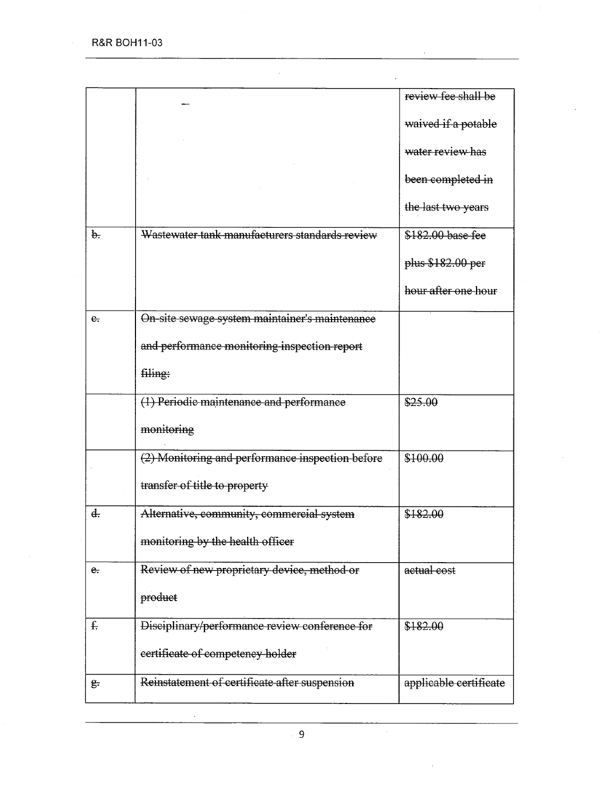R&R BOH11-03

J.

 $\mathbf{r}$ 

|                |                                                  | review fee shall be    |
|----------------|--------------------------------------------------|------------------------|
|                |                                                  | waived if a potable    |
|                |                                                  | water review has       |
|                |                                                  | been completed in      |
|                |                                                  | the last two years     |
| $\mathbf{b}$ . | Wastewater tank manufacturers standards review   | \$182.00 base fee      |
|                |                                                  | plus \$182.00-per      |
|                |                                                  | hour after one hour    |
| $e_{i}$        | On-site sewage system maintainer's maintenance   |                        |
|                | and performance monitoring inspection report     |                        |
|                | filing:                                          |                        |
|                | (1) Periodic maintenance and performance         | \$25.00                |
|                | monitoring                                       |                        |
|                | (2) Monitoring and performance inspection before | \$100.00               |
|                | transfer of title to property                    |                        |
| $\ddot{d}$ .   | Alternative, community, commercial system        | \$182.00               |
|                | monitoring by the health officer                 |                        |
| e.             | Review of new proprietary device, method or      | actual cost            |
|                | product                                          |                        |
| $f_{\tau}$     | Disciplinary/performance review conference for   | \$182.00               |
|                | certificate of competency holder                 |                        |
| g.             | Reinstatement of certificate after suspension    | applicable certificate |

 $\ddot{\phantom{a}}$ 

 $\overline{a}$ 

 $\mathcal{A}^{\mathcal{A}}$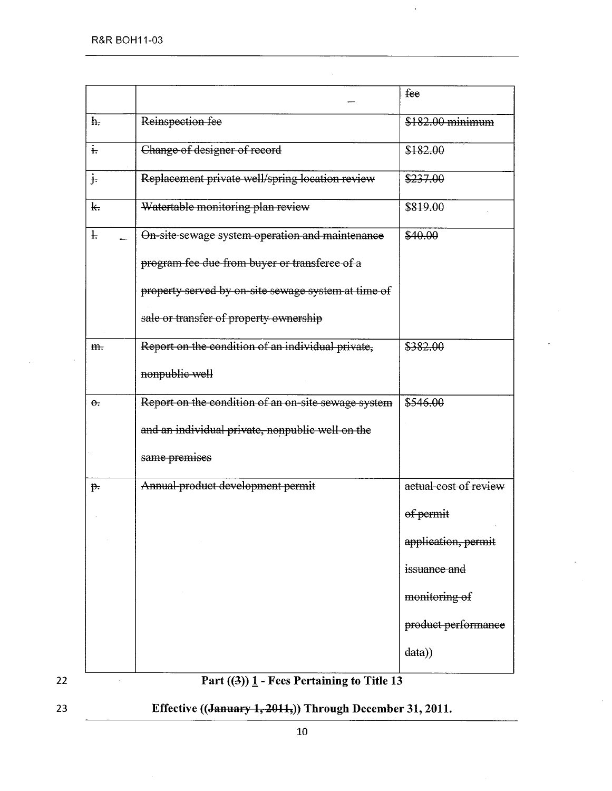|                      |                                                                                                                                                    | fee                   |
|----------------------|----------------------------------------------------------------------------------------------------------------------------------------------------|-----------------------|
| h <sub>r</sub>       | Reinspection fee                                                                                                                                   | \$182.00 minimum      |
| $\ddot{t}$           | Change of designer of record                                                                                                                       | \$182.00              |
| $\frac{1}{\sqrt{2}}$ | Replacement private well/spring location review                                                                                                    | \$237.00              |
| $\mathbf{k}$         | Watertable monitoring plan review                                                                                                                  | \$819.00              |
| ł.                   | On-site sewage system operation and maintenance                                                                                                    | \$40.00               |
|                      | program fee due from buyer or transferee of a                                                                                                      |                       |
|                      | property served by on-site sewage system at time of                                                                                                |                       |
|                      | sale or transfer of property ownership                                                                                                             |                       |
| m.                   | Report on the condition of an individual private,                                                                                                  | \$382.00              |
|                      | nonpublic well                                                                                                                                     |                       |
| $\Theta$ .           | Report on the condition of an on-site sewage system                                                                                                | \$546.00              |
|                      | and an individual private, nonpublic well on the                                                                                                   |                       |
|                      | same premises                                                                                                                                      |                       |
| $p$ .                | Annual product development permit                                                                                                                  | actual cost of review |
|                      |                                                                                                                                                    | of permit             |
|                      |                                                                                                                                                    | application, permit   |
|                      |                                                                                                                                                    | issuance and          |
|                      |                                                                                                                                                    | monitoring of         |
|                      |                                                                                                                                                    | product performance   |
|                      |                                                                                                                                                    | data)                 |
|                      | $\mathbf{D}_{\mathbf{a}\mathbf{w}t}$ ((2)) 1 $\mathbf{F}_{\mathbf{a}\mathbf{a}\mathbf{c}}$ $\mathbf{D}_{\mathbf{a}\mathbf{w}t}$ airing to Title 12 |                       |

 $\bar{\nu}$ 



 $\sim$ 

Part  $((3))$   $\underline{1}$  - Fees Pertaining to Title 13



Effective ((January 1, 2011,)) Through December 31, 2011.

 $\bar{\bar{z}}$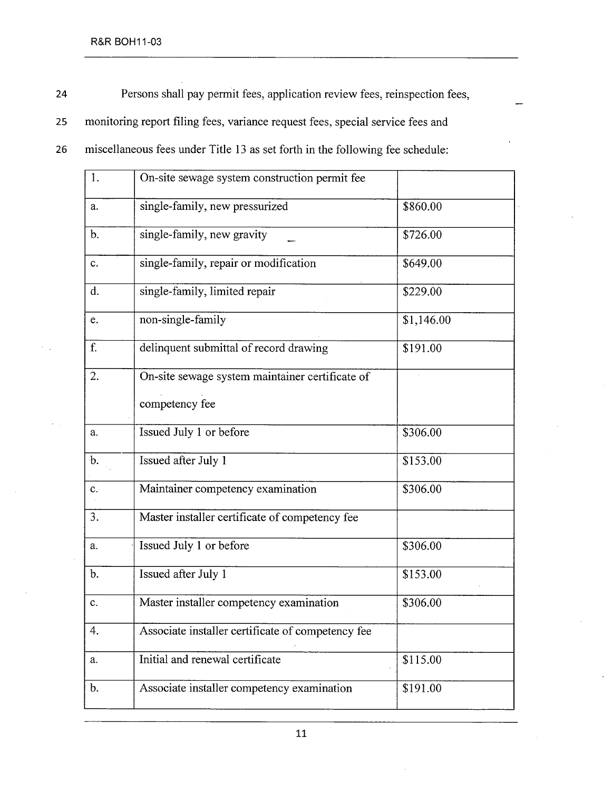24 Persons shall pay permit fees, application review fees, reinspection fees,

25 monitoring report fiing fees, variance request fees, special service fees and

26 miscellaneous fees under Title 13 as set forth in the following fee schedule:

| 1.            | On-site sewage system construction permit fee     |            |
|---------------|---------------------------------------------------|------------|
| a.            | single-family, new pressurized<br>\$860.00        |            |
| b.            | single-family, new gravity                        | \$726.00   |
| c.            | single-family, repair or modification             | \$649.00   |
| d.            | single-family, limited repair                     | \$229.00   |
| e.            | non-single-family                                 | \$1,146.00 |
| f.            | delinquent submittal of record drawing            | \$191.00   |
| 2.            | On-site sewage system maintainer certificate of   |            |
|               | competency fee                                    |            |
| a.            | Issued July 1 or before                           | \$306.00   |
| $\mathbf b$ . | Issued after July 1                               | \$153.00   |
| c.            | Maintainer competency examination                 | \$306.00   |
| 3.            | Master installer certificate of competency fee    |            |
| a.            | Issued July 1 or before                           | \$306.00   |
| $\mathbf b$ . | Issued after July 1                               | \$153.00   |
| c.            | Master installer competency examination           | \$306.00   |
| 4.            | Associate installer certificate of competency fee |            |
| a.            | Initial and renewal certificate                   | \$115.00   |
| b.            | Associate installer competency examination        | \$191.00   |
|               |                                                   |            |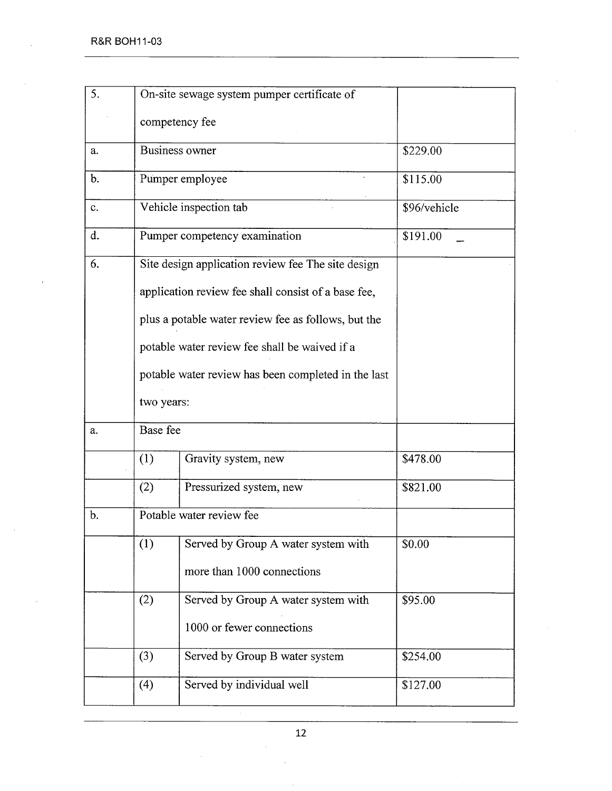| 5.            |                          | On-site sewage system pumper certificate of         |              |
|---------------|--------------------------|-----------------------------------------------------|--------------|
|               |                          | competency fee                                      |              |
| a.            |                          | Business owner                                      | \$229.00     |
| $\mathbf b$ . |                          | Pumper employee                                     | \$115.00     |
| c.            |                          | Vehicle inspection tab                              | \$96/vehicle |
| d.            |                          | Pumper competency examination                       | \$191.00     |
| 6.            |                          | Site design application review fee The site design  |              |
|               |                          | application review fee shall consist of a base fee, |              |
|               |                          | plus a potable water review fee as follows, but the |              |
|               |                          | potable water review fee shall be waived if a       |              |
|               |                          | potable water review has been completed in the last |              |
|               | two years:               |                                                     |              |
| a.            | Base fee                 |                                                     |              |
|               | (1)                      | Gravity system, new                                 | \$478.00     |
|               | (2)                      | Pressurized system, new                             | \$821.00     |
| b.            | Potable water review fee |                                                     |              |
|               | (1)                      | Served by Group A water system with                 | \$0.00       |
|               |                          | more than 1000 connections                          |              |
|               | (2)                      | Served by Group A water system with                 | \$95.00      |
|               |                          | 1000 or fewer connections                           |              |
|               | (3)                      | Served by Group B water system                      | \$254.00     |
|               | (4)                      | Served by individual well                           | \$127.00     |
|               |                          |                                                     |              |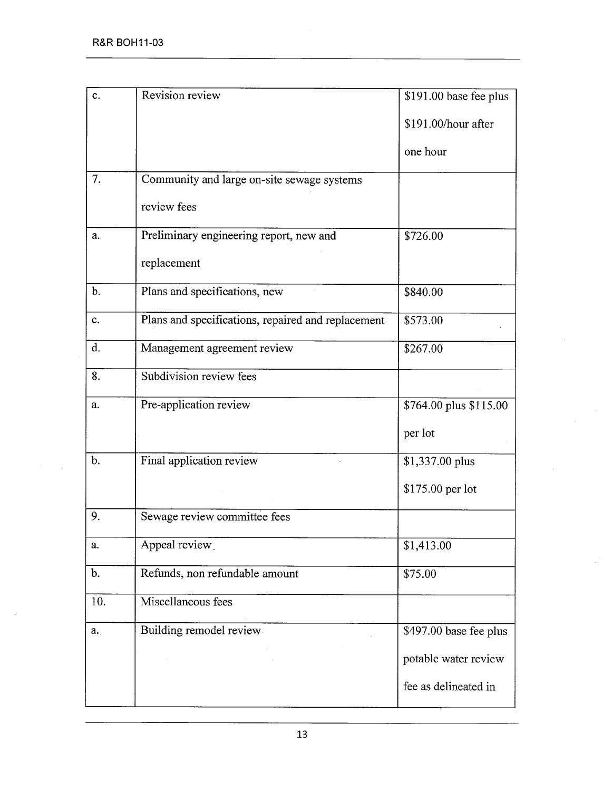| c.            | Revision review                                    | \$191.00 base fee plus |
|---------------|----------------------------------------------------|------------------------|
|               |                                                    | \$191.00/hour after    |
|               |                                                    | one hour               |
| 7.            | Community and large on-site sewage systems         |                        |
|               | review fees                                        |                        |
| a.            | Preliminary engineering report, new and            | \$726.00               |
|               | replacement                                        |                        |
| $\mathbf b$ . | Plans and specifications, new                      | \$840.00               |
| c.            | Plans and specifications, repaired and replacement | \$573.00               |
| d.            | Management agreement review                        | \$267.00               |
| 8.            | Subdivision review fees                            |                        |
| a.            | Pre-application review                             | \$764.00 plus \$115.00 |
|               |                                                    | per lot                |
| $b$ .         | Final application review                           | \$1,337.00 plus        |
|               |                                                    | \$175.00 per lot       |
| 9.            | Sewage review committee fees                       |                        |
| a.            | Appeal review                                      | \$1,413.00             |
| b.            | Refunds, non refundable amount                     | \$75.00                |
| 10.           | Miscellaneous fees                                 |                        |
| a.            | Building remodel review                            | \$497.00 base fee plus |
|               |                                                    | potable water review   |
|               |                                                    | fee as delineated in   |
|               |                                                    |                        |

 $\mathcal{A}$ 

 $\bar{z}$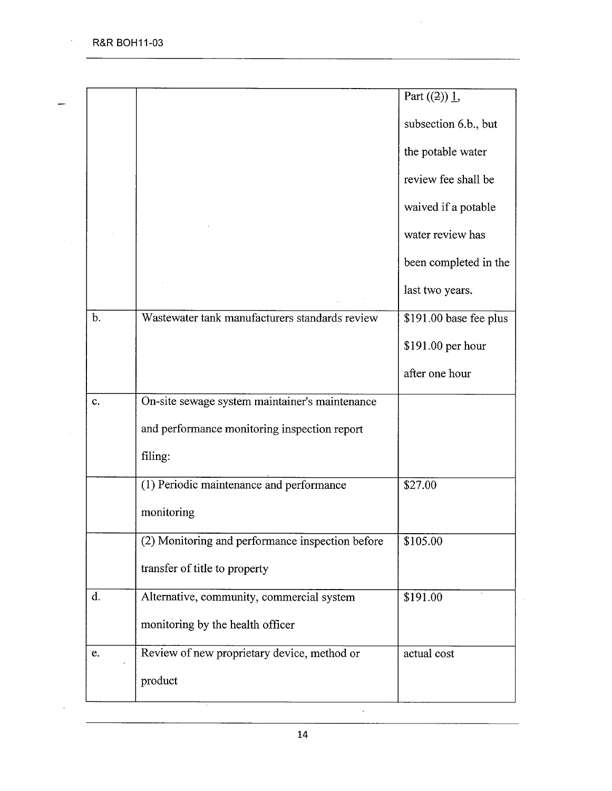$\bar{\mathcal{A}}$ 

 $\overline{\phantom{0}}$ 

 $\hat{\mathcal{A}}$ 

|                |                                                  | Part $((2)) 1$ ,       |
|----------------|--------------------------------------------------|------------------------|
|                |                                                  | subsection 6.b., but   |
|                |                                                  | the potable water      |
|                |                                                  | review fee shall be    |
|                |                                                  | waived if a potable    |
|                |                                                  | water review has       |
|                |                                                  | been completed in the  |
|                |                                                  | last two years.        |
| $b$            | Wastewater tank manufacturers standards review   | \$191.00 base fee plus |
|                |                                                  | \$191.00 per hour      |
|                |                                                  | after one hour         |
| c.             | On-site sewage system maintainer's maintenance   |                        |
|                | and performance monitoring inspection report     |                        |
|                | filing:                                          |                        |
|                | (1) Periodic maintenance and performance         | \$27.00                |
|                | monitoring                                       |                        |
|                | (2) Monitoring and performance inspection before | \$105.00               |
|                | transfer of title to property                    |                        |
| $\mathbf{d}$ . | Alternative, community, commercial system        | \$191.00               |
|                | monitoring by the health officer                 |                        |
|                | Review of new proprietary device, method or      | actual cost            |
| e.             |                                                  |                        |

 $\bar{z}$ 

 $\ddot{\phantom{a}}$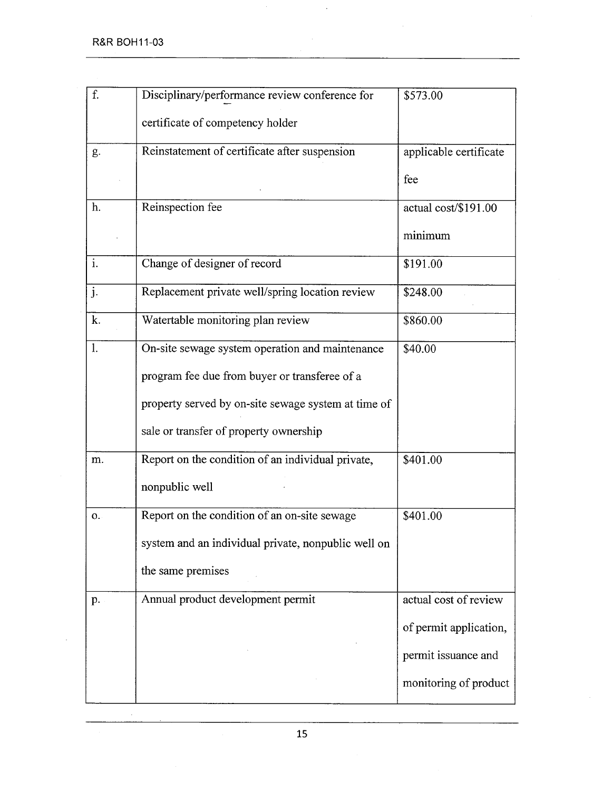$\overline{a}$ 

| f.             | Disciplinary/performance review conference for      | \$573.00               |
|----------------|-----------------------------------------------------|------------------------|
|                | certificate of competency holder                    |                        |
| g.             | Reinstatement of certificate after suspension       | applicable certificate |
|                |                                                     | fee                    |
| h.             | Reinspection fee                                    | actual cost/\$191.00   |
|                |                                                     | minimum                |
| i.             | Change of designer of record                        | \$191.00               |
| j.             | Replacement private well/spring location review     | \$248.00               |
| k.             | Watertable monitoring plan review                   | \$860.00               |
| 1.             | On-site sewage system operation and maintenance     | \$40.00                |
|                | program fee due from buyer or transferee of a       |                        |
|                | property served by on-site sewage system at time of |                        |
|                | sale or transfer of property ownership              |                        |
| m.             | Report on the condition of an individual private,   | \$401.00               |
|                | nonpublic well                                      |                        |
| $\mathbf{O}$ . | Report on the condition of an on-site sewage        | \$401.00               |
|                | system and an individual private, nonpublic well on |                        |
|                | the same premises                                   |                        |
| p.             | Annual product development permit                   | actual cost of review  |
|                |                                                     | of permit application, |
|                |                                                     | permit issuance and    |
|                |                                                     | monitoring of product  |
|                |                                                     |                        |

 $\ddot{\phantom{a}}$ 

 $\hat{\mathcal{L}}$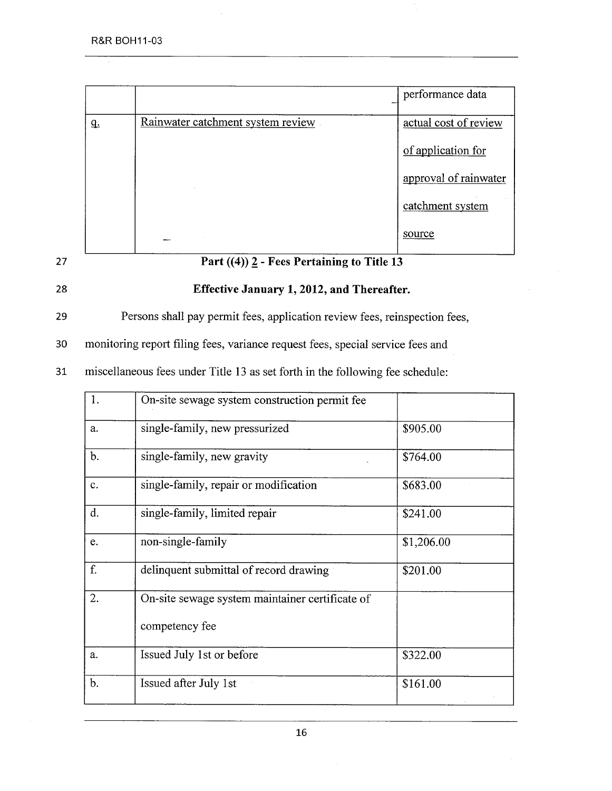|           |                                   | performance data      |
|-----------|-----------------------------------|-----------------------|
| <u>q.</u> | Rainwater catchment system review | actual cost of review |
|           |                                   | of application for    |
|           |                                   | approval of rainwater |
|           |                                   | catchment system      |
|           |                                   | source                |



# 27 Part  $((4))$  2 - Fees Pertaining to Title 13



#### 28 Effective January 1, 2012, and Thereafter.

29 Persons shall pay permit fees, application review fees, reinspection fees,

30 monitoring report filing fees, variance request fees, special service fees and

31 miscellaneous fees under Title 13 as set forth in the following fee schedule:

| 1.             | On-site sewage system construction permit fee                     |            |
|----------------|-------------------------------------------------------------------|------------|
| a.             | single-family, new pressurized                                    | \$905.00   |
| $\mathbf{b}$ . | single-family, new gravity                                        | \$764.00   |
| $\mathbf{c}$ . | single-family, repair or modification                             | \$683.00   |
| d.             | single-family, limited repair                                     | \$241.00   |
| e.             | non-single-family                                                 | \$1,206.00 |
| f.             | delinquent submittal of record drawing                            | \$201.00   |
| 2.             | On-site sewage system maintainer certificate of<br>competency fee |            |
| a.             | Issued July 1st or before                                         | \$322.00   |
| $\mathbf b$ .  | Issued after July 1st                                             | \$161.00   |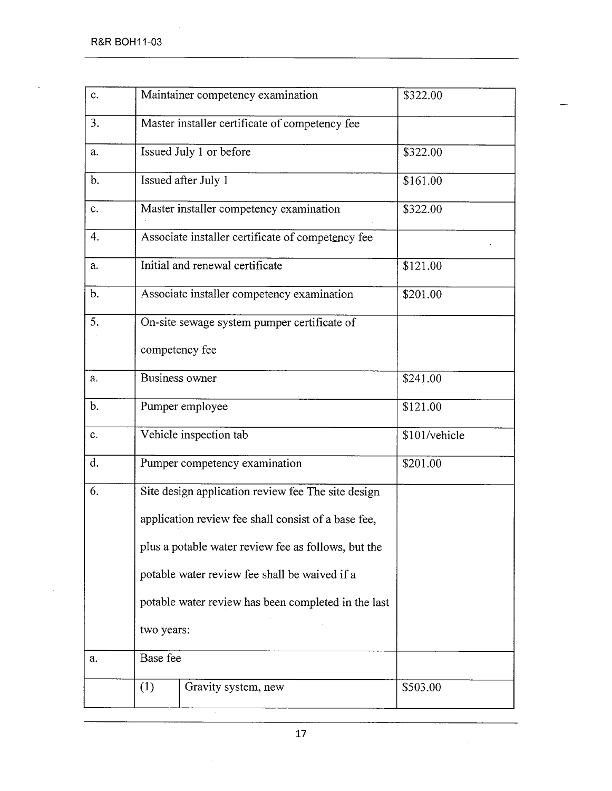$\bar{z}$ 

| c.             | Maintainer competency examination                   | \$322.00      |
|----------------|-----------------------------------------------------|---------------|
| 3.             | Master installer certificate of competency fee      |               |
| a.             | Issued July 1 or before                             | \$322.00      |
| $\mathbf{b}$ . | Issued after July 1                                 | \$161.00      |
| c.             | Master installer competency examination             | \$322.00      |
| 4.             | Associate installer certificate of competency fee   |               |
| a.             | Initial and renewal certificate                     | \$121.00      |
| b.             | Associate installer competency examination          | \$201.00      |
| 5.             | On-site sewage system pumper certificate of         |               |
|                | competency fee                                      |               |
| a.             | Business owner                                      | \$241.00      |
| $\mathbf b$ .  | Pumper employee                                     | \$121.00      |
| c.             | Vehicle inspection tab                              | \$101/vehicle |
| d.             | Pumper competency examination                       | \$201.00      |
| 6.             | Site design application review fee The site design  |               |
|                | application review fee shall consist of a base fee, |               |
|                | plus a potable water review fee as follows, but the |               |
|                | potable water review fee shall be waived if a       |               |
|                | potable water review has been completed in the last |               |
|                | two years:                                          |               |
| a.             | Base fee                                            |               |
|                | (1)<br>Gravity system, new                          | \$503.00      |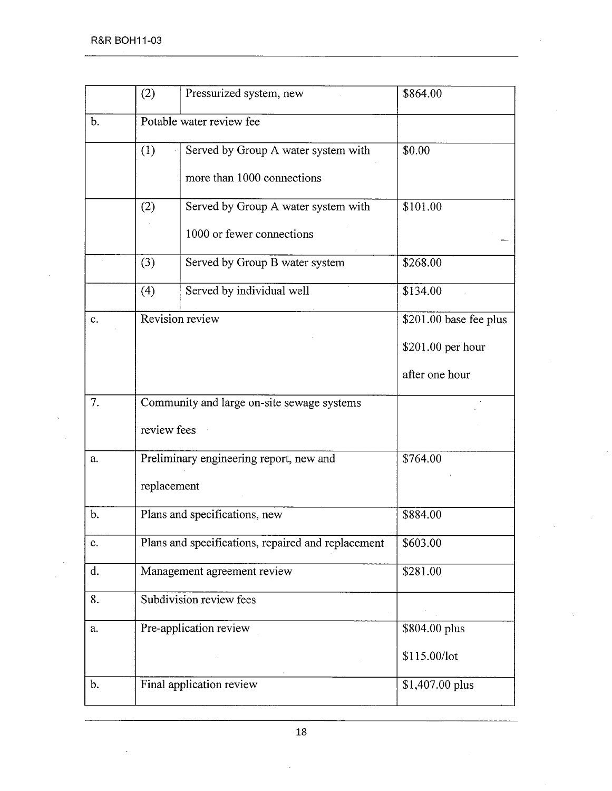| (2) | Pressurized system, new             | \$864.00                                                                                                                                                                                                                                                                                                                                                                  |
|-----|-------------------------------------|---------------------------------------------------------------------------------------------------------------------------------------------------------------------------------------------------------------------------------------------------------------------------------------------------------------------------------------------------------------------------|
|     |                                     |                                                                                                                                                                                                                                                                                                                                                                           |
| (1) | Served by Group A water system with | \$0.00                                                                                                                                                                                                                                                                                                                                                                    |
|     | more than 1000 connections          |                                                                                                                                                                                                                                                                                                                                                                           |
| (2) | Served by Group A water system with | \$101.00                                                                                                                                                                                                                                                                                                                                                                  |
|     | 1000 or fewer connections           |                                                                                                                                                                                                                                                                                                                                                                           |
| (3) | Served by Group B water system      | \$268.00                                                                                                                                                                                                                                                                                                                                                                  |
| (4) | Served by individual well           | \$134.00                                                                                                                                                                                                                                                                                                                                                                  |
|     |                                     | \$201.00 base fee plus                                                                                                                                                                                                                                                                                                                                                    |
|     |                                     | \$201.00 per hour                                                                                                                                                                                                                                                                                                                                                         |
|     |                                     | after one hour                                                                                                                                                                                                                                                                                                                                                            |
|     |                                     |                                                                                                                                                                                                                                                                                                                                                                           |
|     |                                     |                                                                                                                                                                                                                                                                                                                                                                           |
|     |                                     | \$764.00                                                                                                                                                                                                                                                                                                                                                                  |
|     |                                     |                                                                                                                                                                                                                                                                                                                                                                           |
|     |                                     | \$884.00                                                                                                                                                                                                                                                                                                                                                                  |
|     |                                     | \$603.00                                                                                                                                                                                                                                                                                                                                                                  |
|     |                                     | \$281.00                                                                                                                                                                                                                                                                                                                                                                  |
|     |                                     |                                                                                                                                                                                                                                                                                                                                                                           |
|     |                                     | \$804.00 plus                                                                                                                                                                                                                                                                                                                                                             |
|     |                                     | \$115.00/lot                                                                                                                                                                                                                                                                                                                                                              |
|     |                                     | \$1,407.00 plus                                                                                                                                                                                                                                                                                                                                                           |
|     |                                     | Potable water review fee<br>Revision review<br>Community and large on-site sewage systems<br>review fees<br>Preliminary engineering report, new and<br>replacement<br>Plans and specifications, new<br>Plans and specifications, repaired and replacement<br>Management agreement review<br>Subdivision review fees<br>Pre-application review<br>Final application review |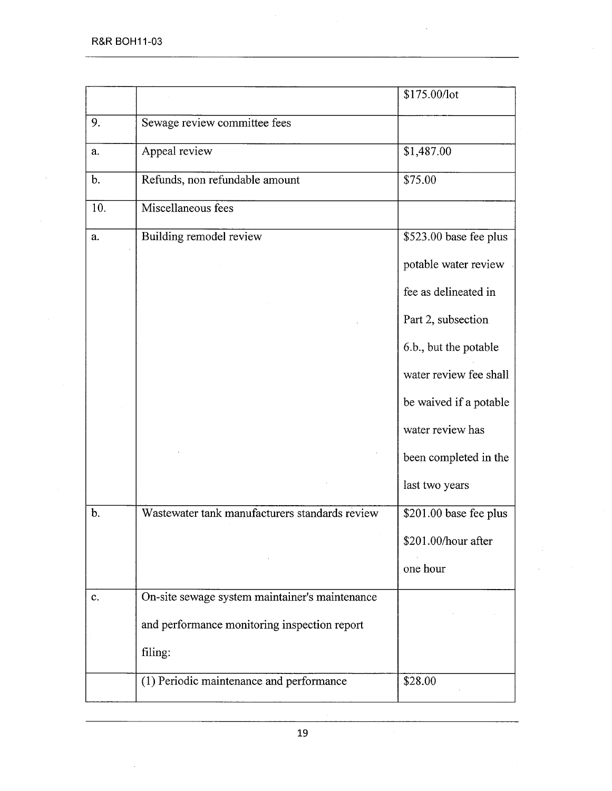|               |                                                | \$175.00/lot           |
|---------------|------------------------------------------------|------------------------|
| 9.            | Sewage review committee fees                   |                        |
| a.            | Appeal review                                  | \$1,487.00             |
| $\mathbf b$ . | Refunds, non refundable amount                 | \$75.00                |
| 10.           | Miscellaneous fees                             |                        |
| a.            | Building remodel review                        | \$523.00 base fee plus |
|               |                                                | potable water review   |
|               |                                                | fee as delineated in   |
|               |                                                | Part 2, subsection     |
|               |                                                | 6.b., but the potable  |
|               |                                                | water review fee shall |
|               |                                                | be waived if a potable |
|               |                                                | water review has       |
|               |                                                | been completed in the  |
|               |                                                | last two years         |
| $\mathbf b$ . | Wastewater tank manufacturers standards review | \$201.00 base fee plus |
|               |                                                | \$201.00/hour after    |
|               |                                                | one hour               |
| c.            | On-site sewage system maintainer's maintenance |                        |
|               | and performance monitoring inspection report   |                        |
|               | filing:                                        |                        |
|               | (1) Periodic maintenance and performance       | \$28.00                |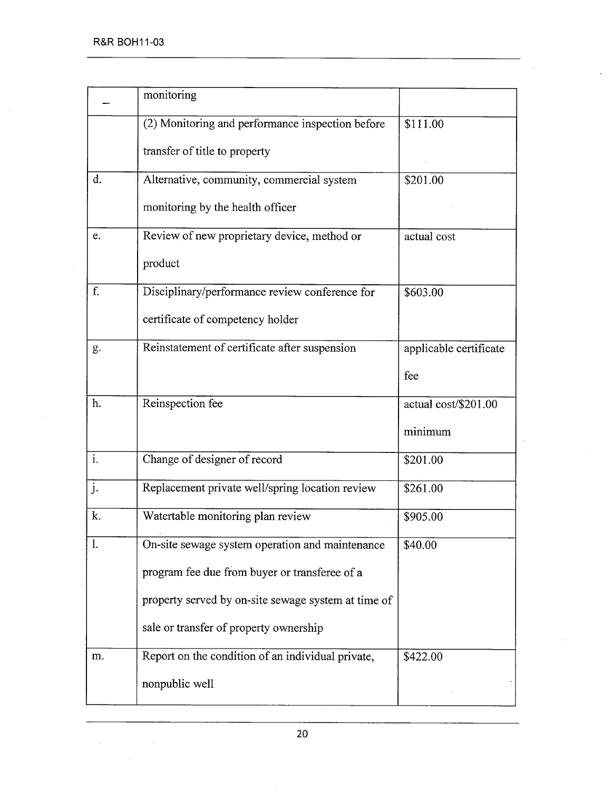$\label{eq:2.1} \mathcal{L}_{\text{max}}(\mathcal{L}_{\text{max}}) = \mathcal{L}_{\text{max}}(\mathcal{L}_{\text{max}})$ 

 $\sim$ 

|                           | monitoring                                          |                        |
|---------------------------|-----------------------------------------------------|------------------------|
|                           | (2) Monitoring and performance inspection before    | \$111.00               |
|                           | transfer of title to property                       |                        |
| d.                        | Alternative, community, commercial system           | \$201.00               |
|                           | monitoring by the health officer                    |                        |
| e.                        | Review of new proprietary device, method or         | actual cost            |
|                           | product                                             |                        |
| f.                        | Disciplinary/performance review conference for      | \$603.00               |
|                           | certificate of competency holder                    |                        |
| g.                        | Reinstatement of certificate after suspension       | applicable certificate |
|                           |                                                     | fee                    |
| h.                        | Reinspection fee                                    | actual cost/\$201.00   |
|                           |                                                     | minimum                |
| $\overline{\mathbf{i}}$ . | Change of designer of record                        | \$201.00               |
| j.                        | Replacement private well/spring location review     | \$261.00               |
| k.                        | Watertable monitoring plan review                   | \$905.00               |
| 1.                        | On-site sewage system operation and maintenance     | \$40.00                |
|                           | program fee due from buyer or transferee of a       |                        |
|                           | property served by on-site sewage system at time of |                        |
|                           | sale or transfer of property ownership              |                        |
| m.                        | Report on the condition of an individual private,   | \$422.00               |
|                           | nonpublic well                                      |                        |
|                           |                                                     |                        |

 $\bar{\mathbf{v}}$ 

l,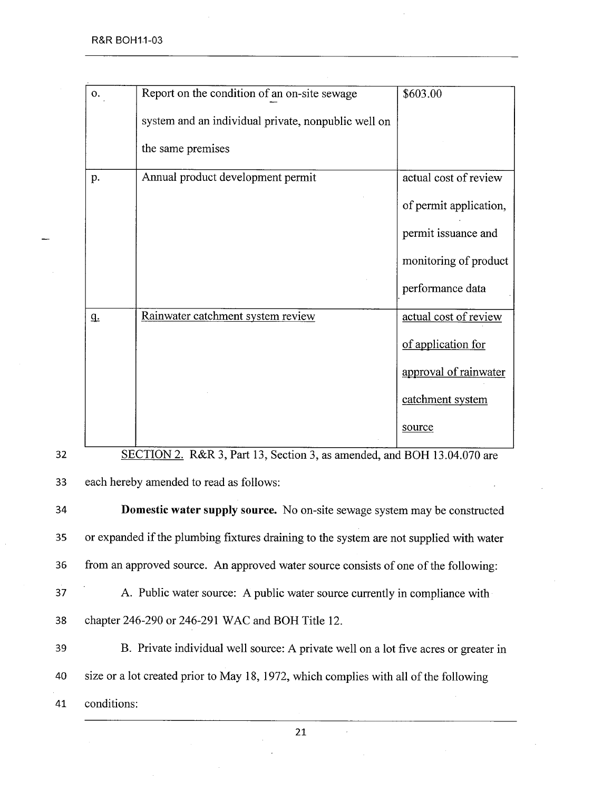| 0.          | Report on the condition of an on-site sewage        | \$603.00               |
|-------------|-----------------------------------------------------|------------------------|
|             | system and an individual private, nonpublic well on |                        |
|             | the same premises                                   |                        |
| p.          | Annual product development permit                   | actual cost of review  |
|             |                                                     | of permit application, |
|             |                                                     | permit issuance and    |
|             |                                                     | monitoring of product  |
|             |                                                     | performance data       |
| $q_{\cdot}$ | Rainwater catchment system review                   | actual cost of review  |
|             |                                                     | of application for     |
|             |                                                     | approval of rainwater  |
|             |                                                     | catchment system       |
|             |                                                     | source                 |

32 SECTION 2. R&R 3, Part 13, Section 3, as amended, and BOH 13.04.070 are

33 each hereby amended to read as follows:

34 Domestic water supply source. No on-site sewage system may be constructed 35 or expanded if the plumbing fixtures draining to the system are not supplied with water 36 from an approved source. An approved water source consists of one of the following: 37 A. Public water source: A public water source currently in compliance with 38 chapter 246-290 or 246-291 WAC and BOH Title 12. 39 B. Private individual well source: A private well on a lot five acres or greater in 40 size or a lot created prior to May 18, 1972, which complies with all of the following

41 conditions: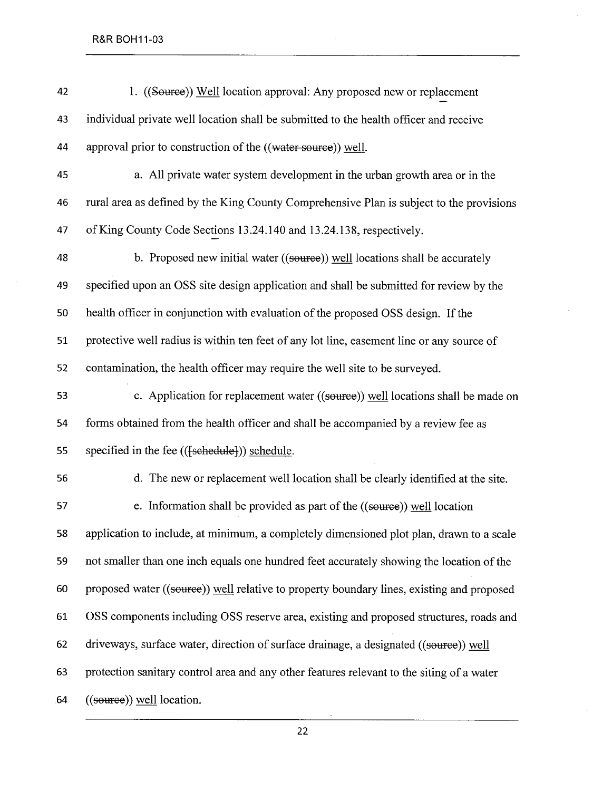| 42 | 1. ((Source)) Well location approval: Any proposed new or replacement                     |
|----|-------------------------------------------------------------------------------------------|
| 43 | individual private well location shall be submitted to the health officer and receive     |
| 44 | approval prior to construction of the ((water source)) well.                              |
| 45 | a. All private water system development in the urban growth area or in the                |
| 46 | rural area as defined by the King County Comprehensive Plan is subject to the provisions  |
| 47 | of King County Code Sections 13.24.140 and 13.24.138, respectively.                       |
| 48 | b. Proposed new initial water ((source)) well locations shall be accurately               |
| 49 | specified upon an OSS site design application and shall be submitted for review by the    |
| 50 | health officer in conjunction with evaluation of the proposed OSS design. If the          |
| 51 | protective well radius is within ten feet of any lot line, easement line or any source of |
| 52 | contamination, the health officer may require the well site to be surveyed.               |
| 53 | c. Application for replacement water ((source)) well locations shall be made on           |
| 54 | forms obtained from the health officer and shall be accompanied by a review fee as        |
| 55 | specified in the fee (( <del>[schedule]</del> )) schedule.                                |
| 56 | d. The new or replacement well location shall be clearly identified at the site.          |
| 57 | e. Information shall be provided as part of the ((source)) well location                  |
| 58 | application to include, at minimum, a completely dimensioned plot plan, drawn to a scale  |
| 59 | not smaller than one inch equals one hundred feet accurately showing the location of the  |
| 60 | proposed water ((source)) well relative to property boundary lines, existing and proposed |
| 61 | OSS components including OSS reserve area, existing and proposed structures, roads and    |
| 62 | driveways, surface water, direction of surface drainage, a designated ((source)) well     |
| 63 | protection sanitary control area and any other features relevant to the siting of a water |
| 64 | ((source)) well location.                                                                 |

l.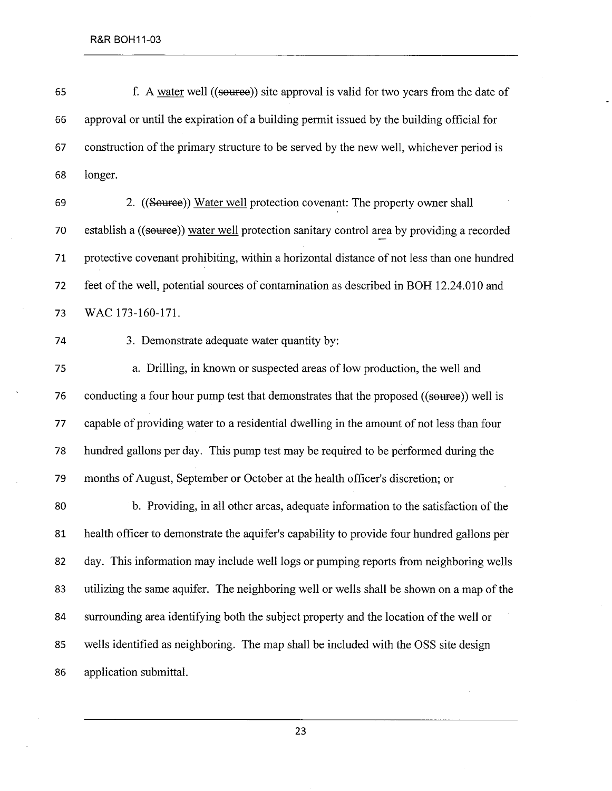65 f. A water well ((source)) site approval is valid for two years from the date of 66 approval or until the expiration of a building permit issued by the building official for 67 construction of the primary structure to be served by the new well, whichever period is 68 longer.

69 2. ((Source)) Water well protection covenant: The property owner shall 70 establish a ((source)) water well protection sanitary control area by providing a recorded 71 protective covenant prohibiting, within a horizontal distance of not less than one hundred 72 feet of the well, potential sources of contamination as described in BOH 12.24.010 and 73 WAC 173-160-171.

74 3. Demonstrate adequate water quantity by:

75 a. Driling, in known or suspected areas of low production, the well and 76 conducting a four hour pump test that demonstrates that the proposed ((source)) well is 77 capable of providing water to a residential dwellng in the amount of not less than four 78 hundred gallons per day. This pump test may be required to be performed during the 79 months of August, September or October at the health officer's discretion; or

80 b. Providing, in all other areas, adequate information to the satisfaction of the 81 health officer to demonstrate the aquifer's capability to provide four hundred gallons per 82 day. This information may include well logs or pumping reports from neighboring wells 83 utilizing the same aquifer. The neighboring well or wells shall be shown on a map of the 84 surrounding area identifying both the subject property and the location of the well or 85 wells identified as neighboring. The map shall be included with the OSS site design 86 application submittaL.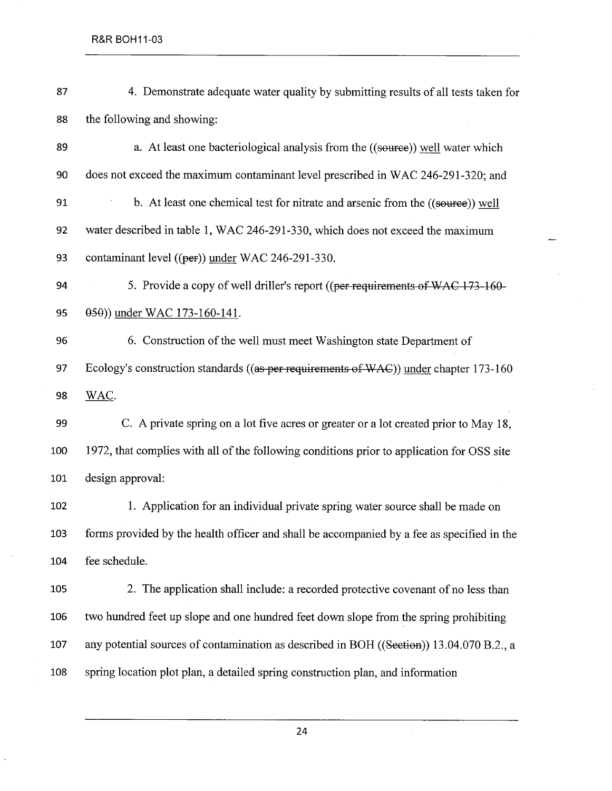87 4. Demonstrate adequate water quality by submitting results of all tests taken for 88 the following and showing: 89 a. At least one bacteriological analysis from the ((source)) well water which 90 does not exceed the maximum contaminant level prescribed in WAC 246-291-320; and 91 b. At least one chemical test for nitrate and arsenic from the ((source)) well 92 water described in table 1, WAC 246-291-330, which does not exceed the maximum 93 contaminant level  $((per))$  under WAC 246-291-330. 94 5. Provide a copy of well driller's report ((per requirements of WAC 173-160-95 (69)) under WAC 173-160-141. 96 6. Construction of the well must meet Washington state Department of 97 Ecology's construction standards ((as per requirements of WAC)) under chapter 173-160 98 WAC. 99 C. A private spring on a lot five acres or greater or a lot created prior to May 18, 100 1972, that complies with all of the following conditions prior to application for OSS site 101 design approval: 102 1. Application for an individual private spring water source shall be made on 103 forms provided by the health officer and shall be accompanied by a fee as specified in the 104 fee schedule. 105 2. The application shall include: a recorded protective covenant of no less than 106 two hundred feet up slope and one hundred feet down slope from the spring prohibiting 107 any potential sources of contamination as described in BOH ((Section)) 13.04.070 B.2., a 108 spring location plot plan, a detailed spring construction plan, and information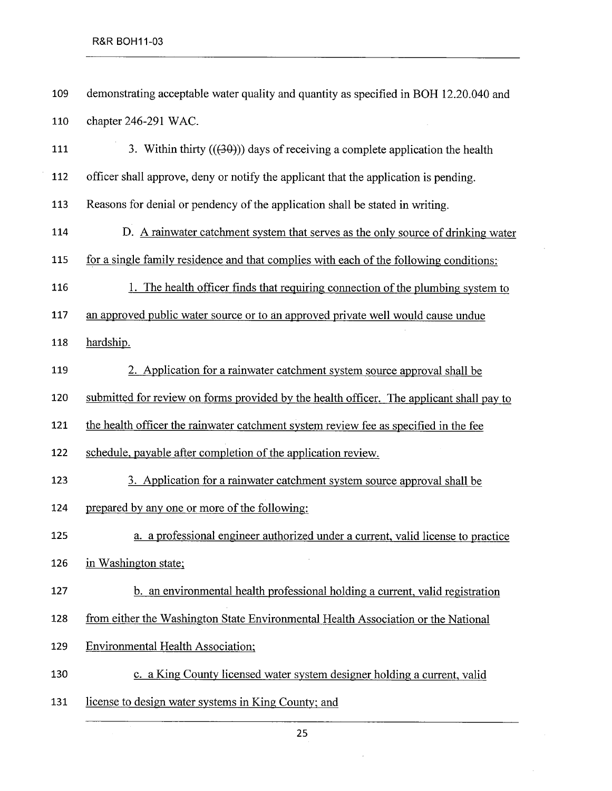| 109 | demonstrating acceptable water quality and quantity as specified in BOH 12.20.040 and    |
|-----|------------------------------------------------------------------------------------------|
| 110 | chapter 246-291 WAC.                                                                     |
| 111 | 3. Within thirty $((30))$ days of receiving a complete application the health            |
| 112 | officer shall approve, deny or notify the applicant that the application is pending.     |
| 113 | Reasons for denial or pendency of the application shall be stated in writing.            |
| 114 | D. A rainwater catchment system that serves as the only source of drinking water         |
| 115 | for a single family residence and that complies with each of the following conditions:   |
| 116 | 1. The health officer finds that requiring connection of the plumbing system to          |
| 117 | an approved public water source or to an approved private well would cause undue         |
| 118 | hardship.                                                                                |
| 119 | 2. Application for a rainwater catchment system source approval shall be                 |
| 120 | submitted for review on forms provided by the health officer. The applicant shall pay to |
| 121 | the health officer the rainwater catchment system review fee as specified in the fee     |
| 122 | schedule, payable after completion of the application review.                            |
| 123 | 3. Application for a rainwater catchment system source approval shall be                 |
| 124 | prepared by any one or more of the following:                                            |
| 125 | a. a professional engineer authorized under a current, valid license to practice         |
| 126 | in Washington state;                                                                     |
| 127 | b. an environmental health professional holding a current, valid registration            |
| 128 | from either the Washington State Environmental Health Association or the National        |
| 129 | <b>Environmental Health Association;</b>                                                 |
| 130 | c. a King County licensed water system designer holding a current, valid                 |
| 131 | license to design water systems in King County; and                                      |

 $\hat{\mathcal{A}}$ 

 $\sim 10^7$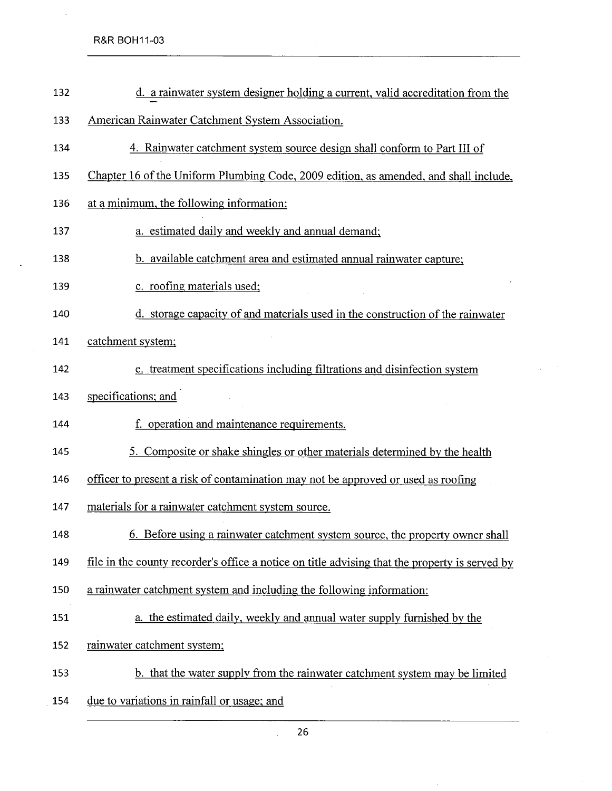R&R BOH11-03

| 132 | d. a rainwater system designer holding a current, valid accreditation from the                 |
|-----|------------------------------------------------------------------------------------------------|
| 133 | American Rainwater Catchment System Association.                                               |
| 134 | 4. Rainwater catchment system source design shall conform to Part III of                       |
| 135 | Chapter 16 of the Uniform Plumbing Code, 2009 edition, as amended, and shall include,          |
| 136 | at a minimum, the following information:                                                       |
| 137 | a. estimated daily and weekly and annual demand;                                               |
| 138 | b. available catchment area and estimated annual rainwater capture;                            |
| 139 | c. roofing materials used;                                                                     |
| 140 | d. storage capacity of and materials used in the construction of the rainwater                 |
| 141 | catchment system;                                                                              |
| 142 | e. treatment specifications including filtrations and disinfection system                      |
| 143 | specifications; and                                                                            |
| 144 | f. operation and maintenance requirements.                                                     |
| 145 | 5. Composite or shake shingles or other materials determined by the health                     |
| 146 | officer to present a risk of contamination may not be approved or used as roofing              |
| 147 | materials for a rainwater catchment system source.                                             |
| 148 | <u>6. Before using a rainwater catchment system source, the property owner shall</u>           |
| 149 | file in the county recorder's office a notice on title advising that the property is served by |
| 150 | a rainwater catchment system and including the following information:                          |
| 151 | a. the estimated daily, weekly and annual water supply furnished by the                        |
| 152 | rainwater catchment system;                                                                    |
| 153 | b. that the water supply from the rainwater catchment system may be limited                    |
| 154 | due to variations in rainfall or usage; and                                                    |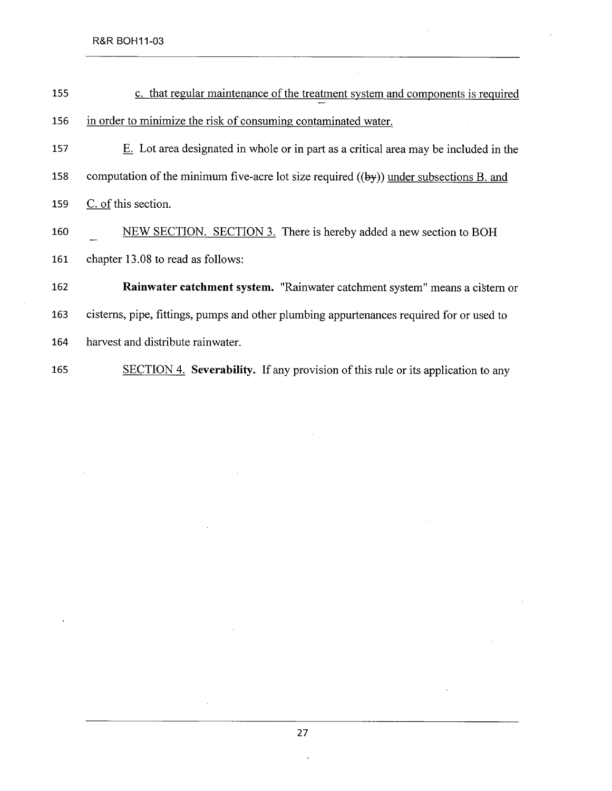| 155 | c. that regular maintenance of the treatment system and components is required           |
|-----|------------------------------------------------------------------------------------------|
| 156 | in order to minimize the risk of consuming contaminated water.                           |
| 157 | E. Lot area designated in whole or in part as a critical area may be included in the     |
| 158 | computation of the minimum five-acre lot size required $((by))$ under subsections B. and |
| 159 | C. of this section.                                                                      |
| 160 | NEW SECTION. SECTION 3. There is hereby added a new section to BOH                       |
| 161 | chapter 13.08 to read as follows:                                                        |
| 162 | Rainwater catchment system. "Rainwater catchment system" means a cistern or              |
| 163 | cisterns, pipe, fittings, pumps and other plumbing appurtenances required for or used to |
| 164 | harvest and distribute rainwater.                                                        |
| 165 | SECTION 4. Severability. If any provision of this rule or its application to any         |

 $\hat{\mathcal{A}}$ 

 $\ddot{\phantom{a}}$ 

l.